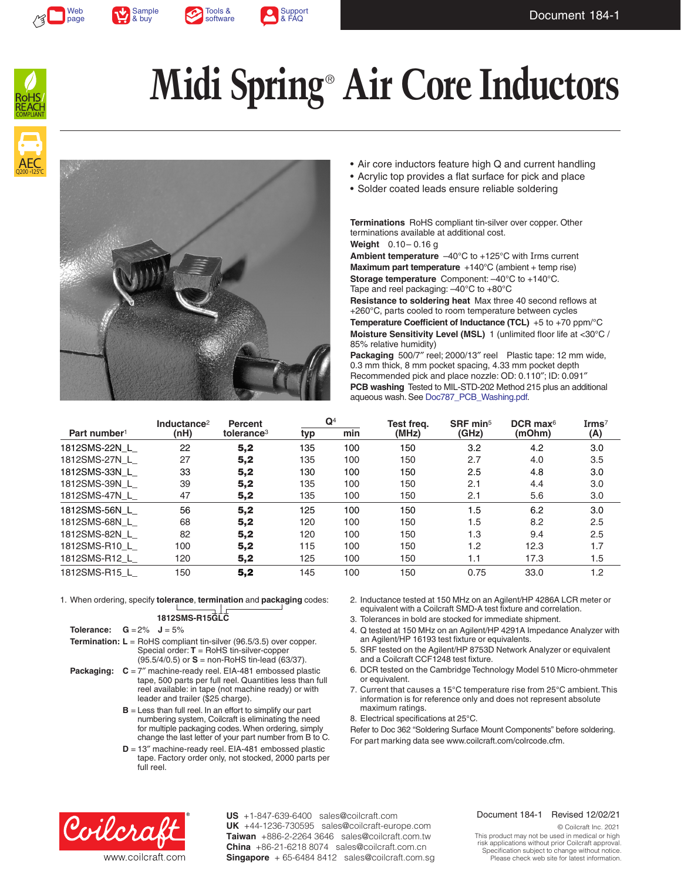







# **Midi Spring**®  **Air Core Inductors**





- Air core inductors feature high Q and current handling
- Acrylic top provides a flat surface for pick and place
- Solder coated leads ensure reliable soldering

**Terminations** RoHS compliant tin-silver over copper. Other terminations available at additional cost. **Weight** 0.10– 0.16 g

**Ambient temperature** –40°C to +125°C with Irms current **Maximum part temperature** +140°C (ambient + temp rise) **Storage temperature** Component: –40°C to +140°C. Tape and reel packaging: –40°C to +80°C

**Resistance to soldering heat** Max three 40 second reflows at +260°C, parts cooled to room temperature between cycles **Temperature Coefficient of Inductance (TCL)** +5 to +70 ppm/°C **Moisture Sensitivity Level (MSL)** 1 (unlimited floor life at <30°C / 85% relative humidity)

**Packaging** 500/7″ reel; 2000/13″ reel Plastic tape: 12 mm wide, 0.3 mm thick, 8 mm pocket spacing, 4.33 mm pocket depth Recommended pick and place nozzle: OD: 0.110″; ID: 0.091″ **PCB washing** Tested to MIL-STD-202 Method 215 plus an additional aqueous wash. See [Doc787\\_PCB\\_Washing.pdf](http://www.coilcraft.com/pdfs/Doc787_PCB_Washing.pdf).

|                          | Inductance <sup>2</sup> | <b>Percent</b>         | $\mathbf{Q}^4$ |     | Test freg. | SRF min <sup>5</sup> | DCR max $6$ | $\mathbf{I}$ rms $^7$ |
|--------------------------|-------------------------|------------------------|----------------|-----|------------|----------------------|-------------|-----------------------|
| Part number <sup>1</sup> | (nH)                    | tolerance <sup>3</sup> | typ            | min | (MHz)      | (GHz)                | (mOhm)      | (A)                   |
| 1812SMS-22N L            | 22                      | 5,2                    | 135            | 100 | 150        | 3.2                  | 4.2         | 3.0                   |
| 1812SMS-27N L            | 27                      | 5,2                    | 135            | 100 | 150        | 2.7                  | 4.0         | 3.5                   |
| 1812SMS-33N L            | 33                      | 5,2                    | 130            | 100 | 150        | 2.5                  | 4.8         | 3.0                   |
| 1812SMS-39N L            | 39                      | 5,2                    | 135            | 100 | 150        | 2.1                  | 4.4         | 3.0                   |
| 1812SMS-47N L            | 47                      | 5,2                    | 135            | 100 | 150        | 2.1                  | 5.6         | 3.0                   |
| 1812SMS-56N L            | 56                      | 5,2                    | 125            | 100 | 150        | 1.5                  | 6.2         | 3.0                   |
| 1812SMS-68N L            | 68                      | 5,2                    | 120            | 100 | 150        | 1.5                  | 8.2         | 2.5                   |
| 1812SMS-82N L            | 82                      | 5,2                    | 120            | 100 | 150        | 1.3                  | 9.4         | 2.5                   |
| 1812SMS-R10 L            | 100                     | 5,2                    | 115            | 100 | 150        | 1.2                  | 12.3        | 1.7                   |
| 1812SMS-R12 L            | 120                     | 5,2                    | 125            | 100 | 150        | 1.1                  | 17.3        | 1.5                   |
| 1812SMS-R15 L            | 150                     | 5,2                    | 145            | 100 | 150        | 0.75                 | 33.0        | 1.2                   |

1. When ordering, specify **tolerance**, **termination** and **packaging** codes:

### **1812SMS-R15GLC**

- **Tolerance:**  $G = 2\%$  **J** = 5%
- **Termination: L** = RoHS compliant tin-silver (96.5/3.5) over copper. Special order: **T** = RoHS tin-silver-copper (95.5/4/0.5) or **S** = non-RoHS tin-lead (63/37).
- **Packaging:**  $C = 7''$  machine-ready reel. EIA-481 embossed plastic tape, 500 parts per full reel. Quantities less than full reel available: in tape (not machine ready) or with leader and trailer (\$25 charge).
	- **B** = Less than full reel. In an effort to simplify our part numbering system, Coilcraft is eliminating the need for multiple packaging codes. When ordering, simply change the last letter of your part number from B to C.
	- **D** = 13" machine-ready reel. EIA-481 embossed plastic tape. Factory order only, not stocked, 2000 parts per full reel.
- 2. Inductance tested at 150 MHz on an Agilent/HP 4286A LCR meter or equivalent with a Coilcraft SMD-A test fixture and correlation.
- 3. Tolerances in bold are stocked for immediate shipment.
- 4. Q tested at 150 MHz on an Agilent/HP 4291A Impedance Analyzer with an Agilent/HP 16193 test fixture or equivalents.
- 5. SRF tested on the Agilent/HP 8753D Network Analyzer or equivalent and a Coilcraft CCF1248 test fixture.
- 6. DCR tested on the Cambridge Technology Model 510 Micro-ohmmeter or equivalent.
- 7. Current that causes a 15°C temperature rise from 25°C ambient. This information is for reference only and does not represent absolute maximum ratings.

8. Electrical specifications at 25°C.

Refer to Doc 362 "Soldering Surface Mount Components" before soldering. For part marking data see www.coilcraft.com/colrcode.cfm.



**US** +1-847-639-6400 sales@coilcraft.com +44-1236-730595 sales@coilcraft-europe.com **UK** +886-2-2264 3646 sales@coilcraft.com.tw **Taiwan** +86-21-6218 8074 sales@coilcraft.com.cn **China** Singapore + 65-6484 8412 sales@coilcraft.com.sg

### Document 184-1 Revised 12/02/21

© Coilcraft Inc. 2021 This product may not be used in medical or high risk applications without prior Coilcraft approval. Specification subject to change without notice. Please check web site for latest information.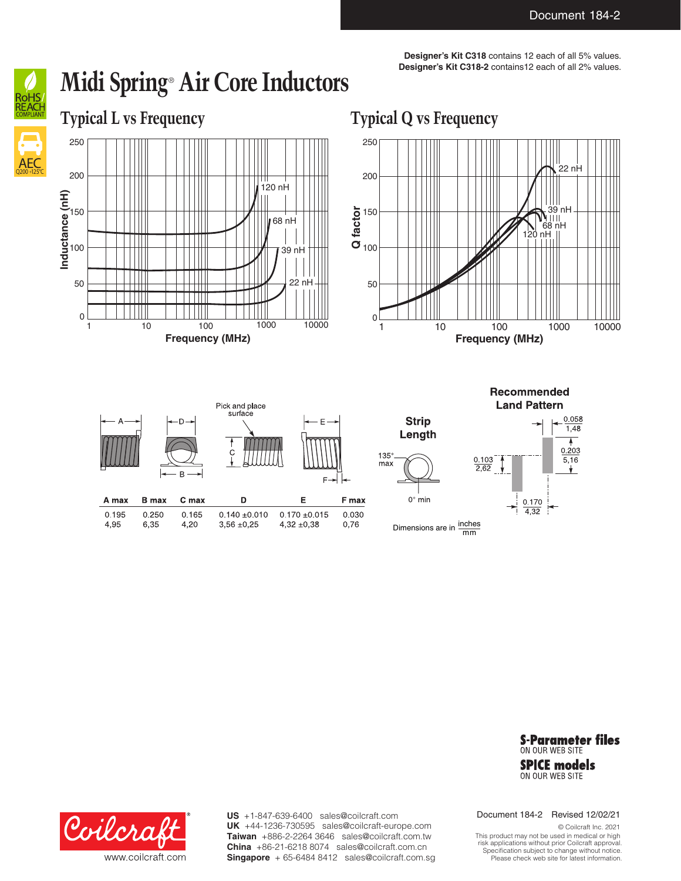**Designer's Kit C318** contains 12 each of all 5% values. **Designer's Kit C318-2** contains12 each of all 2% values.

AEC Q200 +125°C

## **Midi Spring**®  **Air Core Inductors**

**Typical L vs Frequency Typical Q vs Frequency**





Recommended **Land Pattern** Pick and place surface **Strip**  $0.058$  $1,48$ Length ۸  $0.203$  $\ddot{\circ}$  $135^\circ$  $\frac{0.103}{2.62}$ 5,16  $max$  $0^\circ$  min A max **B** max C max D E F max 0.170  $4,32$ 0.195 0.250 0.165  $0.140 \pm 0.010$ 0.030  $0.170 + 0.015$ 4,95 6,35 4,20  $3,56 \pm 0,25$  $4,32 \pm 0,38$ 0,76 Dimensions are in  $\frac{\text{inches}}{\text{mm}}$ 

> **S-Parameter files** ON OUR WEB SITE **SPICE models** ON OUR WEB SITE



**US** +1-847-639-6400 sales@coilcraft.com +44-1236-730595 sales@coilcraft-europe.com **UK** +886-2-2264 3646 sales@coilcraft.com.tw **Taiwan** +86-21-6218 8074 sales@coilcraft.com.cn **China** Singapore + 65-6484 8412 sales@coilcraft.com.sg Document 184-2 Revised 12/02/21

© Coilcraft Inc. 2021 This product may not be used in medical or high risk applications without prior Coilcraft approval. Specification subject to change without notice. Please check web site for latest information.